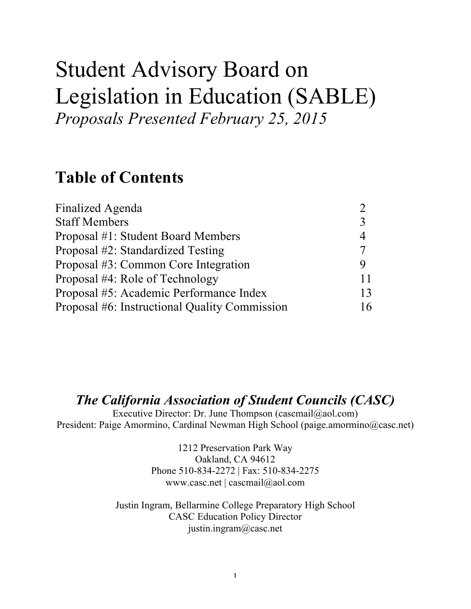# Student Advisory Board on Legislation in Education (SABLE) *Proposals Presented February 25, 2015*

## **Table of Contents**

| Finalized Agenda                              |    |
|-----------------------------------------------|----|
| <b>Staff Members</b>                          |    |
| Proposal #1: Student Board Members            |    |
| Proposal #2: Standardized Testing             |    |
| Proposal #3: Common Core Integration          |    |
| Proposal #4: Role of Technology               | 11 |
| Proposal #5: Academic Performance Index       | 13 |
| Proposal #6: Instructional Quality Commission | 16 |

## *The California Association of Student Councils (CASC)*

Executive Director: Dr. June Thompson (cascmail@aol.com) President: Paige Amormino, Cardinal Newman High School (paige.amormino@casc.net)

> 1212 Preservation Park Way Oakland, CA 94612 Phone 510-834-2272 | Fax: 510-834-2275 www.casc.net | cascmail@aol.com

Justin Ingram, Bellarmine College Preparatory High School CASC Education Policy Director justin.ingram@casc.net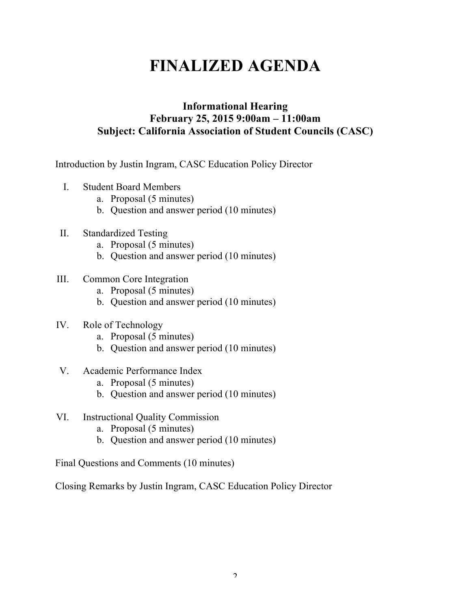## **FINALIZED AGENDA**

## **Informational Hearing February 25, 2015 9:00am – 11:00am Subject: California Association of Student Councils (CASC)**

Introduction by Justin Ingram, CASC Education Policy Director

- I. Student Board Members
	- a. Proposal (5 minutes)
	- b. Question and answer period (10 minutes)
- II. Standardized Testing
	- a. Proposal (5 minutes)
	- b. Question and answer period (10 minutes)
- III. Common Core Integration
	- a. Proposal (5 minutes)
	- b. Question and answer period (10 minutes)
- IV. Role of Technology
	- a. Proposal (5 minutes)
	- b. Question and answer period (10 minutes)
- V. Academic Performance Index
	- a. Proposal (5 minutes)
	- b. Question and answer period (10 minutes)
- VI. Instructional Quality Commission
	- a. Proposal (5 minutes)
	- b. Question and answer period (10 minutes)

Final Questions and Comments (10 minutes)

Closing Remarks by Justin Ingram, CASC Education Policy Director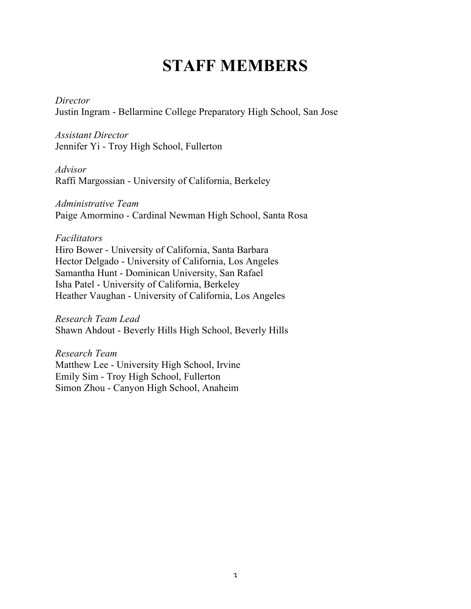## **STAFF MEMBERS**

*Director* Justin Ingram - Bellarmine College Preparatory High School, San Jose

*Assistant Director*  Jennifer Yi - Troy High School, Fullerton

*Advisor*  Raffi Margossian - University of California, Berkeley

*Administrative Team* Paige Amormino - Cardinal Newman High School, Santa Rosa

#### *Facilitators*

Hiro Bower - University of California, Santa Barbara Hector Delgado - University of California, Los Angeles Samantha Hunt - Dominican University, San Rafael Isha Patel - University of California, Berkeley Heather Vaughan - University of California, Los Angeles

*Research Team Lead* Shawn Ahdout - Beverly Hills High School, Beverly Hills

*Research Team* Matthew Lee - University High School, Irvine Emily Sim - Troy High School, Fullerton Simon Zhou - Canyon High School, Anaheim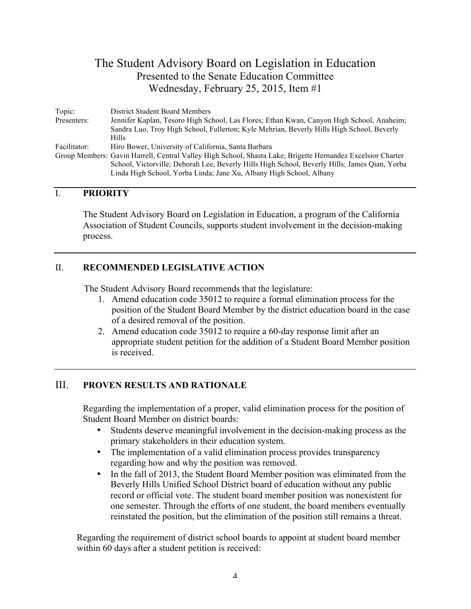| Topic:       | District Student Board Members                                                                              |
|--------------|-------------------------------------------------------------------------------------------------------------|
| Presenters:  | Jennifer Kaplan, Tesoro High School, Las Flores; Ethan Kwan, Canyon High School, Anaheim;                   |
|              | Sandra Luo, Troy High School, Fullerton; Kyle Mehrian, Beverly Hills High School, Beverly                   |
|              | <b>Hills</b>                                                                                                |
| Facilitator: | Hiro Bower, University of California, Santa Barbara                                                         |
|              | Group Members: Gavin Harrell, Central Valley High School, Shasta Lake; Brigette Hernandez Excelsior Charter |
|              | School, Victorville: Deborah Lee, Beverly Hills High School, Beverly Hills; James Oian, Yorba               |
|              | Linda High School, Yorba Linda; Jane Xu, Albany High School, Albany                                         |

#### I. **PRIORITY**

The Student Advisory Board on Legislation in Education, a program of the California Association of Student Councils, supports student involvement in the decision-making process.

#### II. **RECOMMENDED LEGISLATIVE ACTION**

The Student Advisory Board recommends that the legislature:

- 1. Amend education code 35012 to require a formal elimination process for the position of the Student Board Member by the district education board in the case of a desired removal of the position.
- 2. Amend education code 35012 to require a 60-day response limit after an appropriate student petition for the addition of a Student Board Member position is received.

## III. **PROVEN RESULTS AND RATIONALE**

Regarding the implementation of a proper, valid elimination process for the position of Student Board Member on district boards:

- Students deserve meaningful involvement in the decision-making process as the primary stakeholders in their education system.
- The implementation of a valid elimination process provides transparency regarding how and why the position was removed.
- In the fall of 2013, the Student Board Member position was eliminated from the Beverly Hills Unified School District board of education without any public record or official vote. The student board member position was nonexistent for one semester. Through the efforts of one student, the board members eventually reinstated the position, but the elimination of the position still remains a threat.

Regarding the requirement of district school boards to appoint at student board member within 60 days after a student petition is received: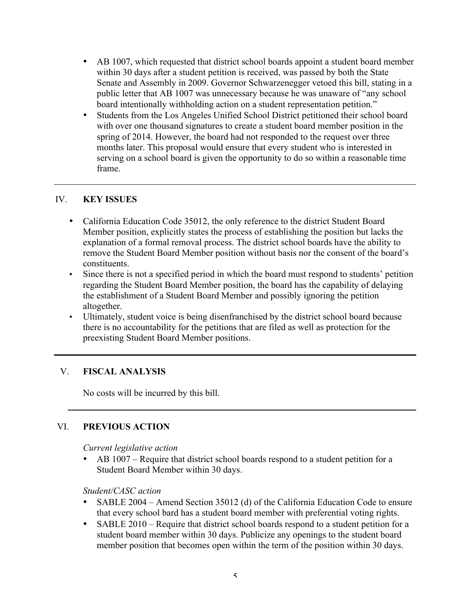- AB 1007, which requested that district school boards appoint a student board member within 30 days after a student petition is received, was passed by both the State Senate and Assembly in 2009. Governor Schwarzenegger vetoed this bill, stating in a public letter that AB 1007 was unnecessary because he was unaware of "any school board intentionally withholding action on a student representation petition."
- Students from the Los Angeles Unified School District petitioned their school board with over one thousand signatures to create a student board member position in the spring of 2014. However, the board had not responded to the request over three months later. This proposal would ensure that every student who is interested in serving on a school board is given the opportunity to do so within a reasonable time frame.

- California Education Code 35012, the only reference to the district Student Board Member position, explicitly states the process of establishing the position but lacks the explanation of a formal removal process. The district school boards have the ability to remove the Student Board Member position without basis nor the consent of the board's constituents.
- Since there is not a specified period in which the board must respond to students' petition regarding the Student Board Member position, the board has the capability of delaying the establishment of a Student Board Member and possibly ignoring the petition altogether.
- Ultimately, student voice is being disenfranchised by the district school board because there is no accountability for the petitions that are filed as well as protection for the preexisting Student Board Member positions.

## V. **FISCAL ANALYSIS**

No costs will be incurred by this bill.

## VI. **PREVIOUS ACTION**

*Current legislative action*

• AB 1007 – Require that district school boards respond to a student petition for a Student Board Member within 30 days.

*Student/CASC action*

- SABLE 2004 Amend Section 35012 (d) of the California Education Code to ensure that every school bard has a student board member with preferential voting rights.
- SABLE 2010 Require that district school boards respond to a student petition for a student board member within 30 days. Publicize any openings to the student board member position that becomes open within the term of the position within 30 days.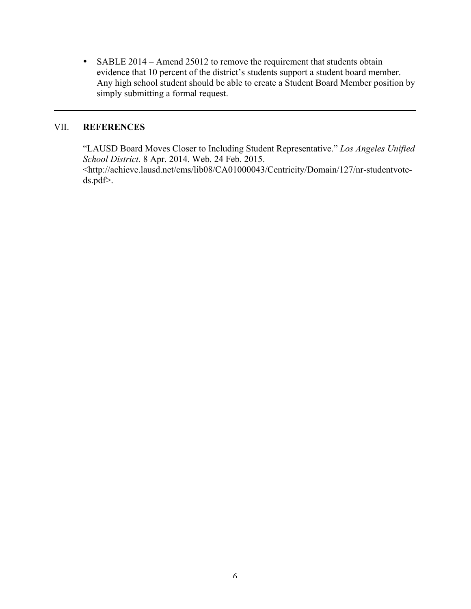• SABLE 2014 – Amend 25012 to remove the requirement that students obtain evidence that 10 percent of the district's students support a student board member. Any high school student should be able to create a Student Board Member position by simply submitting a formal request.

## VII. **REFERENCES**

"LAUSD Board Moves Closer to Including Student Representative." *Los Angeles Unified School District.* 8 Apr. 2014. Web. 24 Feb. 2015.

<http://achieve.lausd.net/cms/lib08/CA01000043/Centricity/Domain/127/nr-studentvoteds.pdf>.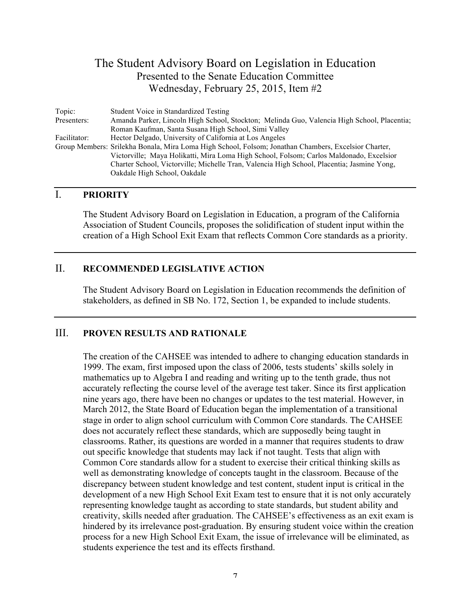| Topic:       | Student Voice in Standardized Testing                                                                |
|--------------|------------------------------------------------------------------------------------------------------|
| Presenters:  | Amanda Parker, Lincoln High School, Stockton; Melinda Guo, Valencia High School, Placentia;          |
|              | Roman Kaufman, Santa Susana High School, Simi Valley                                                 |
| Facilitator: | Hector Delgado, University of California at Los Angeles                                              |
|              | Group Members: Srilekha Bonala, Mira Loma High School, Folsom; Jonathan Chambers, Excelsior Charter, |
|              | Victorville; Maya Holikatti, Mira Loma High School, Folsom; Carlos Maldonado, Excelsior              |
|              | Charter School, Victorville; Michelle Tran, Valencia High School, Placentia; Jasmine Yong,           |
|              | Oakdale High School, Oakdale                                                                         |

## I. **PRIORITY**

The Student Advisory Board on Legislation in Education, a program of the California Association of Student Councils, proposes the solidification of student input within the creation of a High School Exit Exam that reflects Common Core standards as a priority.

## II. **RECOMMENDED LEGISLATIVE ACTION**

The Student Advisory Board on Legislation in Education recommends the definition of stakeholders, as defined in SB No. 172, Section 1, be expanded to include students.

### III. **PROVEN RESULTS AND RATIONALE**

The creation of the CAHSEE was intended to adhere to changing education standards in 1999. The exam, first imposed upon the class of 2006, tests students' skills solely in mathematics up to Algebra I and reading and writing up to the tenth grade, thus not accurately reflecting the course level of the average test taker. Since its first application nine years ago, there have been no changes or updates to the test material. However, in March 2012, the State Board of Education began the implementation of a transitional stage in order to align school curriculum with Common Core standards. The CAHSEE does not accurately reflect these standards, which are supposedly being taught in classrooms. Rather, its questions are worded in a manner that requires students to draw out specific knowledge that students may lack if not taught. Tests that align with Common Core standards allow for a student to exercise their critical thinking skills as well as demonstrating knowledge of concepts taught in the classroom. Because of the discrepancy between student knowledge and test content, student input is critical in the development of a new High School Exit Exam test to ensure that it is not only accurately representing knowledge taught as according to state standards, but student ability and creativity, skills needed after graduation. The CAHSEE's effectiveness as an exit exam is hindered by its irrelevance post-graduation. By ensuring student voice within the creation process for a new High School Exit Exam, the issue of irrelevance will be eliminated, as students experience the test and its effects firsthand.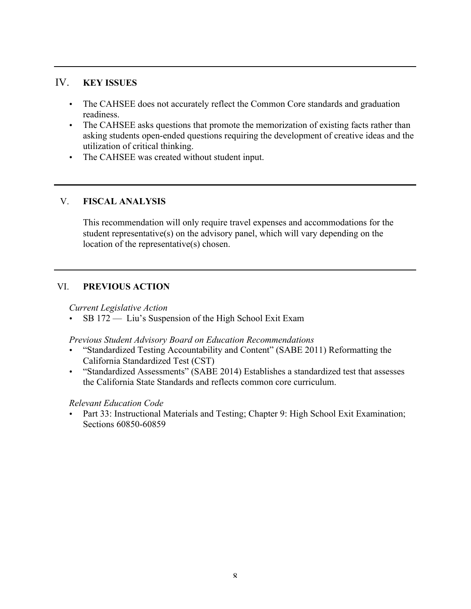- The CAHSEE does not accurately reflect the Common Core standards and graduation readiness.
- The CAHSEE asks questions that promote the memorization of existing facts rather than asking students open-ended questions requiring the development of creative ideas and the utilization of critical thinking.
- The CAHSEE was created without student input.

## V. **FISCAL ANALYSIS**

This recommendation will only require travel expenses and accommodations for the student representative(s) on the advisory panel, which will vary depending on the location of the representative(s) chosen.

## VI. **PREVIOUS ACTION**

*Current Legislative Action*

• SB 172 — Liu's Suspension of the High School Exit Exam

*Previous Student Advisory Board on Education Recommendations*

- "Standardized Testing Accountability and Content" (SABE 2011) Reformatting the California Standardized Test (CST)
- "Standardized Assessments" (SABE 2014) Establishes a standardized test that assesses the California State Standards and reflects common core curriculum.

## *Relevant Education Code*

Part 33: Instructional Materials and Testing; Chapter 9: High School Exit Examination; Sections 60850-60859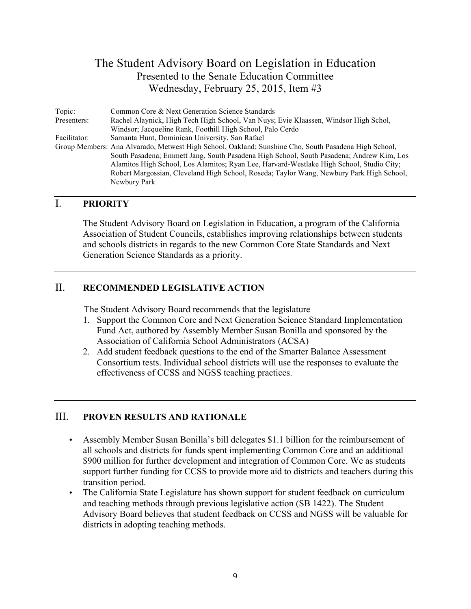| Topic:       | Common Core & Next Generation Science Standards                                                      |
|--------------|------------------------------------------------------------------------------------------------------|
| Presenters:  | Rachel Alaynick, High Tech High School, Van Nuys; Evie Klaassen, Windsor High Schol,                 |
|              | Windsor; Jacqueline Rank, Foothill High School, Palo Cerdo                                           |
| Facilitator: | Samanta Hunt, Dominican University, San Rafael                                                       |
|              | Group Members: Ana Alvarado, Metwest High School, Oakland; Sunshine Cho, South Pasadena High School, |
|              | South Pasadena; Emmett Jang, South Pasadena High School, South Pasadena; Andrew Kim, Los             |
|              | Alamitos High School, Los Alamitos; Ryan Lee, Harvard-Westlake High School, Studio City;             |
|              | Robert Margossian, Cleveland High School, Roseda; Taylor Wang, Newbury Park High School,             |
|              | Newbury Park                                                                                         |

## I. **PRIORITY**

The Student Advisory Board on Legislation in Education, a program of the California Association of Student Councils, establishes improving relationships between students and schools districts in regards to the new Common Core State Standards and Next Generation Science Standards as a priority.

## II. **RECOMMENDED LEGISLATIVE ACTION**

The Student Advisory Board recommends that the legislature

- 1. Support the Common Core and Next Generation Science Standard Implementation Fund Act, authored by Assembly Member Susan Bonilla and sponsored by the Association of California School Administrators (ACSA)
- 2. Add student feedback questions to the end of the Smarter Balance Assessment Consortium tests. Individual school districts will use the responses to evaluate the effectiveness of CCSS and NGSS teaching practices.

## III. **PROVEN RESULTS AND RATIONALE**

- Assembly Member Susan Bonilla's bill delegates \$1.1 billion for the reimbursement of all schools and districts for funds spent implementing Common Core and an additional \$900 million for further development and integration of Common Core. We as students support further funding for CCSS to provide more aid to districts and teachers during this transition period.
- The California State Legislature has shown support for student feedback on curriculum and teaching methods through previous legislative action (SB 1422). The Student Advisory Board believes that student feedback on CCSS and NGSS will be valuable for districts in adopting teaching methods.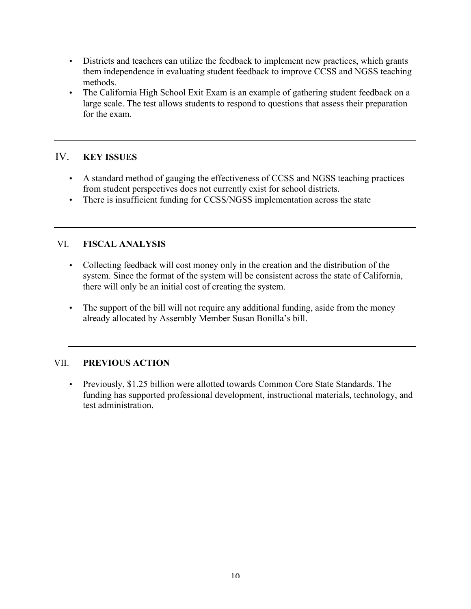- Districts and teachers can utilize the feedback to implement new practices, which grants them independence in evaluating student feedback to improve CCSS and NGSS teaching methods.
- The California High School Exit Exam is an example of gathering student feedback on a large scale. The test allows students to respond to questions that assess their preparation for the exam.

- A standard method of gauging the effectiveness of CCSS and NGSS teaching practices from student perspectives does not currently exist for school districts.
- There is insufficient funding for CCSS/NGSS implementation across the state

## VI. **FISCAL ANALYSIS**

- Collecting feedback will cost money only in the creation and the distribution of the system. Since the format of the system will be consistent across the state of California, there will only be an initial cost of creating the system.
- The support of the bill will not require any additional funding, aside from the money already allocated by Assembly Member Susan Bonilla's bill.

## VII. **PREVIOUS ACTION**

• Previously, \$1.25 billion were allotted towards Common Core State Standards. The funding has supported professional development, instructional materials, technology, and test administration.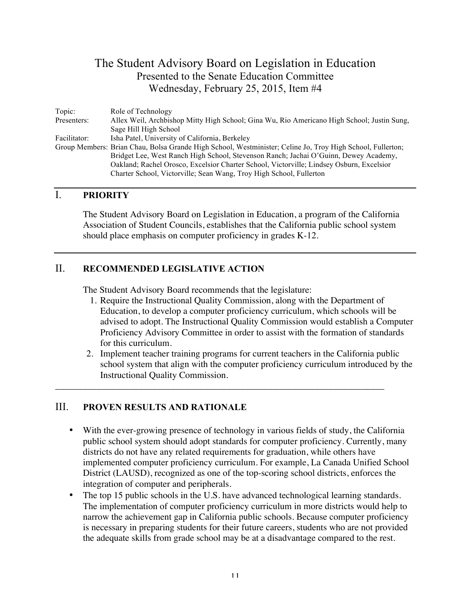| Topic:       | Role of Technology                                                                                         |
|--------------|------------------------------------------------------------------------------------------------------------|
| Presenters:  | Allex Weil, Archbishop Mitty High School; Gina Wu, Rio Americano High School; Justin Sung,                 |
|              | Sage Hill High School                                                                                      |
| Facilitator: | Isha Patel, University of California, Berkeley                                                             |
|              | Group Members: Brian Chau, Bolsa Grande High School, Westminister; Celine Jo, Troy High School, Fullerton; |
|              | Bridget Lee, West Ranch High School, Stevenson Ranch; Jachai O'Guinn, Dewey Academy,                       |
|              | Oakland; Rachel Orosco, Excelsior Charter School, Victorville; Lindsey Osburn, Excelsior                   |
|              | Charter School, Victorville; Sean Wang, Troy High School, Fullerton                                        |

## I. **PRIORITY**

The Student Advisory Board on Legislation in Education, a program of the California Association of Student Councils, establishes that the California public school system should place emphasis on computer proficiency in grades K-12.

## II. **RECOMMENDED LEGISLATIVE ACTION**

The Student Advisory Board recommends that the legislature:

- 1. Require the Instructional Quality Commission, along with the Department of Education, to develop a computer proficiency curriculum, which schools will be advised to adopt. The Instructional Quality Commission would establish a Computer Proficiency Advisory Committee in order to assist with the formation of standards for this curriculum.
- 2. Implement teacher training programs for current teachers in the California public school system that align with the computer proficiency curriculum introduced by the Instructional Quality Commission.

\_\_\_\_\_\_\_\_\_\_\_\_\_\_\_\_\_\_\_\_\_\_\_\_\_\_\_\_\_\_\_\_\_\_\_\_\_\_\_\_\_\_\_\_\_\_\_\_\_\_\_\_\_\_\_\_\_\_\_\_\_\_\_\_\_\_\_\_\_\_\_

## III. **PROVEN RESULTS AND RATIONALE**

- With the ever-growing presence of technology in various fields of study, the California public school system should adopt standards for computer proficiency. Currently, many districts do not have any related requirements for graduation, while others have implemented computer proficiency curriculum. For example, La Canada Unified School District (LAUSD), recognized as one of the top-scoring school districts, enforces the integration of computer and peripherals.
- The top 15 public schools in the U.S. have advanced technological learning standards. The implementation of computer proficiency curriculum in more districts would help to narrow the achievement gap in California public schools. Because computer proficiency is necessary in preparing students for their future careers, students who are not provided the adequate skills from grade school may be at a disadvantage compared to the rest.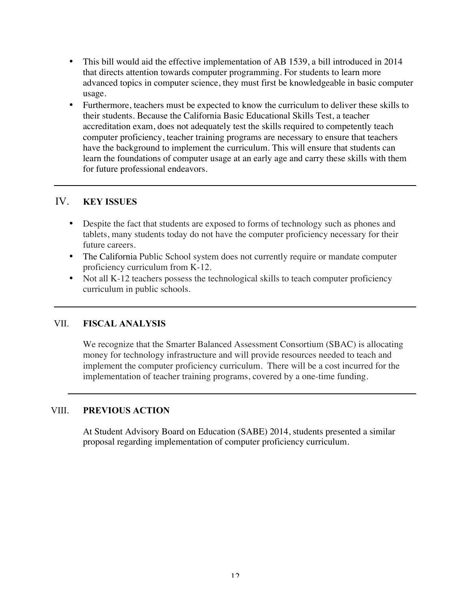- This bill would aid the effective implementation of AB 1539, a bill introduced in 2014 that directs attention towards computer programming. For students to learn more advanced topics in computer science, they must first be knowledgeable in basic computer usage.
- Furthermore, teachers must be expected to know the curriculum to deliver these skills to their students. Because the California Basic Educational Skills Test, a teacher accreditation exam, does not adequately test the skills required to competently teach computer proficiency, teacher training programs are necessary to ensure that teachers have the background to implement the curriculum. This will ensure that students can learn the foundations of computer usage at an early age and carry these skills with them for future professional endeavors.

- Despite the fact that students are exposed to forms of technology such as phones and tablets, many students today do not have the computer proficiency necessary for their future careers.
- The California Public School system does not currently require or mandate computer proficiency curriculum from K-12.
- Not all K-12 teachers possess the technological skills to teach computer proficiency curriculum in public schools.

## VII. **FISCAL ANALYSIS**

We recognize that the Smarter Balanced Assessment Consortium (SBAC) is allocating money for technology infrastructure and will provide resources needed to teach and implement the computer proficiency curriculum. There will be a cost incurred for the implementation of teacher training programs, covered by a one-time funding.

## VIII. **PREVIOUS ACTION**

At Student Advisory Board on Education (SABE) 2014, students presented a similar proposal regarding implementation of computer proficiency curriculum.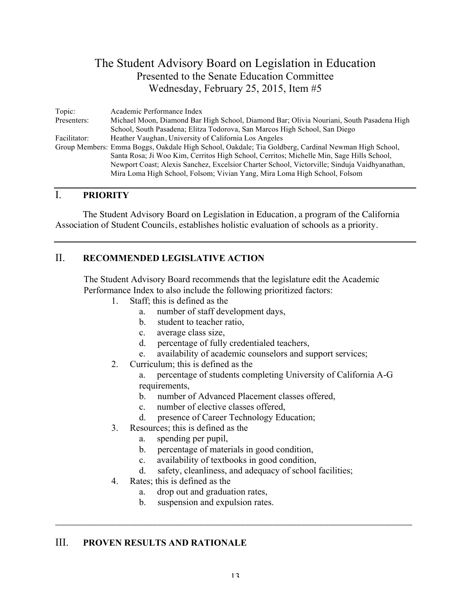| Topic:       | Academic Performance Index                                                                          |
|--------------|-----------------------------------------------------------------------------------------------------|
| Presenters:  | Michael Moon, Diamond Bar High School, Diamond Bar; Olivia Nouriani, South Pasadena High            |
|              | School, South Pasadena; Elitza Todorova, San Marcos High School, San Diego                          |
| Facilitator: | Heather Vaughan, University of California Los Angeles                                               |
|              | Group Members: Emma Boggs, Oakdale High School, Oakdale; Tia Goldberg, Cardinal Newman High School, |
|              | Santa Rosa; Ji Woo Kim, Cerritos High School, Cerritos; Michelle Min, Sage Hills School,            |
|              | Newport Coast; Alexis Sanchez, Excelsior Charter School, Victorville; Sinduja Vaidhyanathan,        |
|              | Mira Loma High School, Folsom; Vivian Yang, Mira Loma High School, Folsom                           |

## I. **PRIORITY**

The Student Advisory Board on Legislation in Education, a program of the California Association of Student Councils, establishes holistic evaluation of schools as a priority.

## II. **RECOMMENDED LEGISLATIVE ACTION**

The Student Advisory Board recommends that the legislature edit the Academic Performance Index to also include the following prioritized factors:

- 1. Staff; this is defined as the
	- a. number of staff development days,
	- b. student to teacher ratio,
	- c. average class size,
	- d. percentage of fully credentialed teachers,
	- e. availability of academic counselors and support services;
- 2. Curriculum; this is defined as the
	- a. percentage of students completing University of California A-G requirements,
	- b. number of Advanced Placement classes offered,
	- c. number of elective classes offered,
	- d. presence of Career Technology Education;
- 3. Resources; this is defined as the
	- a. spending per pupil,
	- b. percentage of materials in good condition,
	- c. availability of textbooks in good condition,
	- d. safety, cleanliness, and adequacy of school facilities;
- 4. Rates; this is defined as the
	- a. drop out and graduation rates,
	- b. suspension and expulsion rates.

## III. **PROVEN RESULTS AND RATIONALE**

\_\_\_\_\_\_\_\_\_\_\_\_\_\_\_\_\_\_\_\_\_\_\_\_\_\_\_\_\_\_\_\_\_\_\_\_\_\_\_\_\_\_\_\_\_\_\_\_\_\_\_\_\_\_\_\_\_\_\_\_\_\_\_\_\_\_\_\_\_\_\_\_\_\_\_\_\_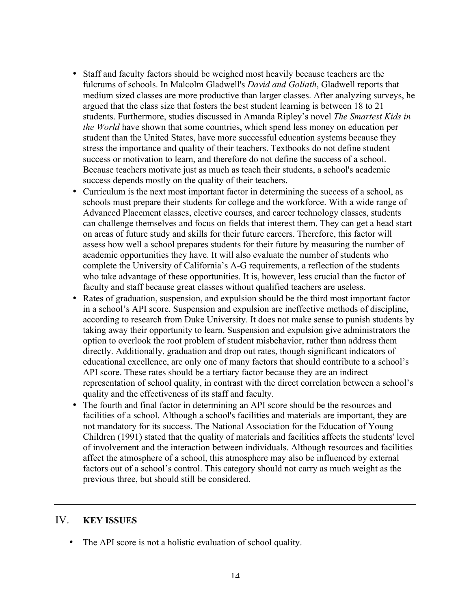- Staff and faculty factors should be weighed most heavily because teachers are the fulcrums of schools. In Malcolm Gladwell's *David and Goliath*, Gladwell reports that medium sized classes are more productive than larger classes. After analyzing surveys, he argued that the class size that fosters the best student learning is between 18 to 21 students. Furthermore, studies discussed in Amanda Ripley's novel *The Smartest Kids in the World* have shown that some countries, which spend less money on education per student than the United States, have more successful education systems because they stress the importance and quality of their teachers. Textbooks do not define student success or motivation to learn, and therefore do not define the success of a school. Because teachers motivate just as much as teach their students, a school's academic success depends mostly on the quality of their teachers.
- Curriculum is the next most important factor in determining the success of a school, as schools must prepare their students for college and the workforce. With a wide range of Advanced Placement classes, elective courses, and career technology classes, students can challenge themselves and focus on fields that interest them. They can get a head start on areas of future study and skills for their future careers. Therefore, this factor will assess how well a school prepares students for their future by measuring the number of academic opportunities they have. It will also evaluate the number of students who complete the University of California's A-G requirements, a reflection of the students who take advantage of these opportunities. It is, however, less crucial than the factor of faculty and staff because great classes without qualified teachers are useless.
- Rates of graduation, suspension, and expulsion should be the third most important factor in a school's API score. Suspension and expulsion are ineffective methods of discipline, according to research from Duke University. It does not make sense to punish students by taking away their opportunity to learn. Suspension and expulsion give administrators the option to overlook the root problem of student misbehavior, rather than address them directly. Additionally, graduation and drop out rates, though significant indicators of educational excellence, are only one of many factors that should contribute to a school's API score. These rates should be a tertiary factor because they are an indirect representation of school quality, in contrast with the direct correlation between a school's quality and the effectiveness of its staff and faculty.
- The fourth and final factor in determining an API score should be the resources and facilities of a school. Although a school's facilities and materials are important, they are not mandatory for its success. The National Association for the Education of Young Children (1991) stated that the quality of materials and facilities affects the students' level of involvement and the interaction between individuals. Although resources and facilities affect the atmosphere of a school, this atmosphere may also be influenced by external factors out of a school's control. This category should not carry as much weight as the previous three, but should still be considered.

• The API score is not a holistic evaluation of school quality.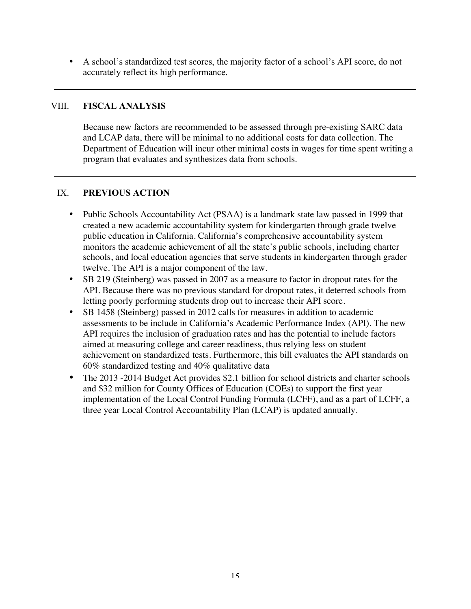• A school's standardized test scores, the majority factor of a school's API score, do not accurately reflect its high performance.

#### VIII. **FISCAL ANALYSIS**

Because new factors are recommended to be assessed through pre-existing SARC data and LCAP data, there will be minimal to no additional costs for data collection. The Department of Education will incur other minimal costs in wages for time spent writing a program that evaluates and synthesizes data from schools.

#### IX. **PREVIOUS ACTION**

- Public Schools Accountability Act (PSAA) is a landmark state law passed in 1999 that created a new academic accountability system for kindergarten through grade twelve public education in California. California's comprehensive accountability system monitors the academic achievement of all the state's public schools, including charter schools, and local education agencies that serve students in kindergarten through grader twelve. The API is a major component of the law.
- SB 219 (Steinberg) was passed in 2007 as a measure to factor in dropout rates for the API. Because there was no previous standard for dropout rates, it deterred schools from letting poorly performing students drop out to increase their API score.
- SB 1458 (Steinberg) passed in 2012 calls for measures in addition to academic assessments to be include in California's Academic Performance Index (API). The new API requires the inclusion of graduation rates and has the potential to include factors aimed at measuring college and career readiness, thus relying less on student achievement on standardized tests. Furthermore, this bill evaluates the API standards on 60% standardized testing and 40% qualitative data
- The 2013 -2014 Budget Act provides \$2.1 billion for school districts and charter schools and \$32 million for County Offices of Education (COEs) to support the first year implementation of the Local Control Funding Formula (LCFF), and as a part of LCFF, a three year Local Control Accountability Plan (LCAP) is updated annually.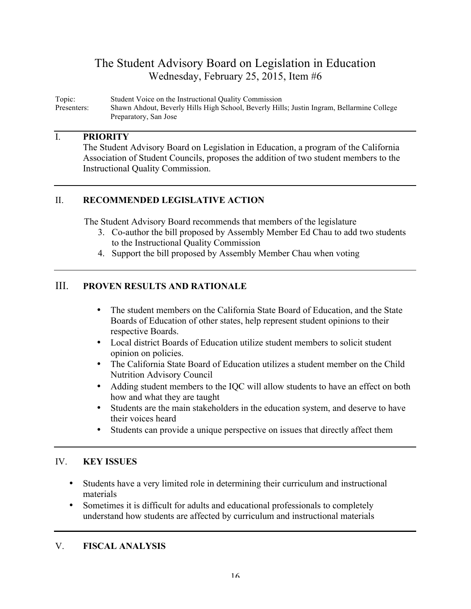## The Student Advisory Board on Legislation in Education Wednesday, February 25, 2015, Item #6

Topic: Student Voice on the Instructional Quality Commission Shawn Ahdout, Beverly Hills High School, Beverly Hills; Justin Ingram, Bellarmine College Preparatory, San Jose

#### I. **PRIORITY**

The Student Advisory Board on Legislation in Education, a program of the California Association of Student Councils, proposes the addition of two student members to the Instructional Quality Commission.

## II. **RECOMMENDED LEGISLATIVE ACTION**

The Student Advisory Board recommends that members of the legislature

- 3. Co-author the bill proposed by Assembly Member Ed Chau to add two students to the Instructional Quality Commission
- 4. Support the bill proposed by Assembly Member Chau when voting

## III. **PROVEN RESULTS AND RATIONALE**

- The student members on the California State Board of Education, and the State Boards of Education of other states, help represent student opinions to their respective Boards.
- Local district Boards of Education utilize student members to solicit student opinion on policies.
- The California State Board of Education utilizes a student member on the Child Nutrition Advisory Council
- Adding student members to the IQC will allow students to have an effect on both how and what they are taught
- Students are the main stakeholders in the education system, and deserve to have their voices heard
- Students can provide a unique perspective on issues that directly affect them

## IV. **KEY ISSUES**

- Students have a very limited role in determining their curriculum and instructional materials
- Sometimes it is difficult for adults and educational professionals to completely understand how students are affected by curriculum and instructional materials

## V. **FISCAL ANALYSIS**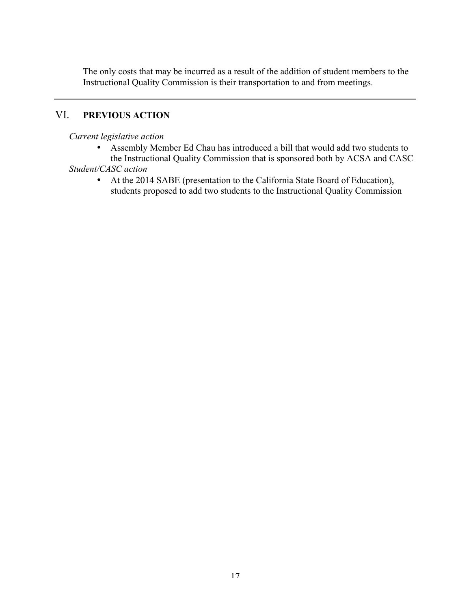The only costs that may be incurred as a result of the addition of student members to the Instructional Quality Commission is their transportation to and from meetings.

## VI. **PREVIOUS ACTION**

### *Current legislative action*

- Assembly Member Ed Chau has introduced a bill that would add two students to the Instructional Quality Commission that is sponsored both by ACSA and CASC *Student/CASC action*
	- At the 2014 SABE (presentation to the California State Board of Education), students proposed to add two students to the Instructional Quality Commission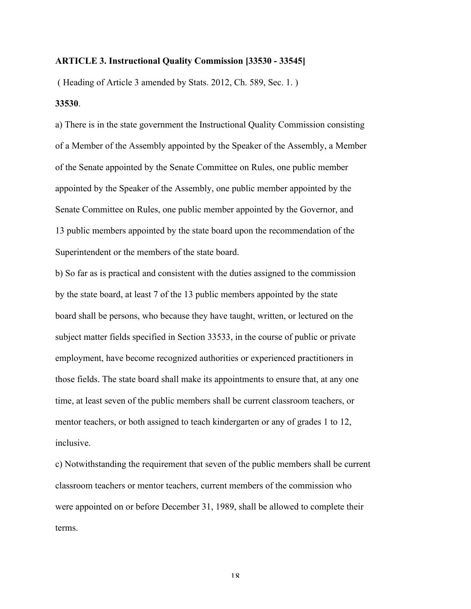#### **ARTICLE 3. Instructional Quality Commission [33530 - 33545]**

( Heading of Article 3 amended by Stats. 2012, Ch. 589, Sec. 1. ) **33530**.

a) There is in the state government the Instructional Quality Commission consisting of a Member of the Assembly appointed by the Speaker of the Assembly, a Member of the Senate appointed by the Senate Committee on Rules, one public member appointed by the Speaker of the Assembly, one public member appointed by the Senate Committee on Rules, one public member appointed by the Governor, and 13 public members appointed by the state board upon the recommendation of the Superintendent or the members of the state board.

b) So far as is practical and consistent with the duties assigned to the commission by the state board, at least 7 of the 13 public members appointed by the state board shall be persons, who because they have taught, written, or lectured on the subject matter fields specified in Section 33533, in the course of public or private employment, have become recognized authorities or experienced practitioners in those fields. The state board shall make its appointments to ensure that, at any one time, at least seven of the public members shall be current classroom teachers, or mentor teachers, or both assigned to teach kindergarten or any of grades 1 to 12, inclusive.

c) Notwithstanding the requirement that seven of the public members shall be current classroom teachers or mentor teachers, current members of the commission who were appointed on or before December 31, 1989, shall be allowed to complete their terms.

18